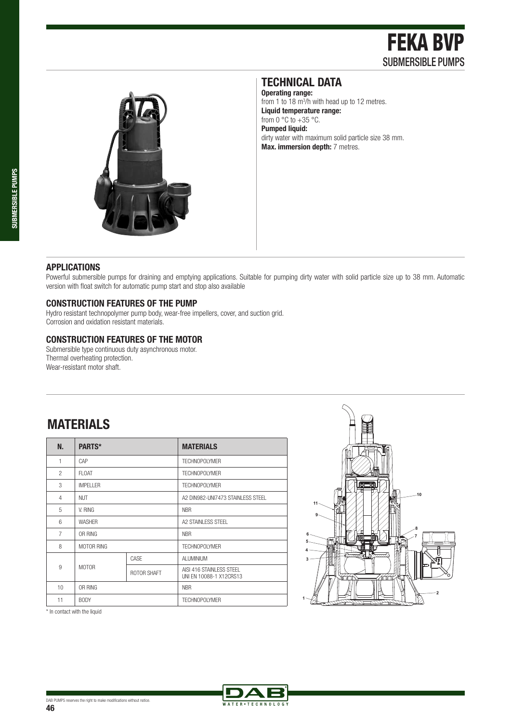

### **TECHNICAL DATA**

**Operating range:**  from 1 to 18 m<sup>3</sup>/h with head up to 12 metres. **Liquid temperature range:**  from  $0^\circ \text{C}$  to  $+35^\circ \text{C}$ . **Pumped liquid:**  dirty water with maximum solid particle size 38 mm. **Max. immersion depth:** 7 metres.

### **APPLICATIONS**

Powerful submersible pumps for draining and emptying applications. Suitable for pumping dirty water with solid particle size up to 38 mm. Automatic version with float switch for automatic pump start and stop also available

ATER . TECHNOLO

### **CONSTRUCTION FEATURES OF THE PUMP**

Hydro resistant technopolymer pump body, wear-free impellers, cover, and suction grid. Corrosion and oxidation resistant materials.

#### **CONSTRUCTION FEATURES OF THE MOTOR**

Submersible type continuous duty asynchronous motor. Thermal overheating protection. Wear-resistant motor shaft.

# **MATERIALS**

| N.             | PARTS*          |             | <b>MATERIALS</b>                                    |  |  |  |  |  |
|----------------|-----------------|-------------|-----------------------------------------------------|--|--|--|--|--|
| 1              | CAP             |             | <b>TECHNOPOLYMER</b>                                |  |  |  |  |  |
| $\mathfrak{p}$ | <b>FLOAT</b>    |             | <b>TECHNOPOLYMER</b>                                |  |  |  |  |  |
| 3              | <b>IMPELLER</b> |             | <b>TECHNOPOLYMER</b>                                |  |  |  |  |  |
| 4              | <b>NUT</b>      |             | A2 DIN982-UNI7473 STAINLESS STEEL                   |  |  |  |  |  |
| 5              | V. RING         |             | <b>NBR</b>                                          |  |  |  |  |  |
| 6              | <b>WASHER</b>   |             | A2 STAINLESS STEEL                                  |  |  |  |  |  |
| $\overline{7}$ | OR RING         |             | <b>NBR</b>                                          |  |  |  |  |  |
| 8              | MOTOR RING      |             | <b>TECHNOPOLYMER</b>                                |  |  |  |  |  |
|                |                 | CASE        | <b>ALUMINIUM</b>                                    |  |  |  |  |  |
| 9              | <b>MOTOR</b>    | ROTOR SHAFT | AISI 416 STAINLESS STEEL<br>UNI EN 10088-1 X12CRS13 |  |  |  |  |  |
| 10             | OR RING         |             | <b>NBR</b>                                          |  |  |  |  |  |
| 11             | <b>BODY</b>     |             | <b>TECHNOPOLYMER</b>                                |  |  |  |  |  |



\* In contact with the liquid

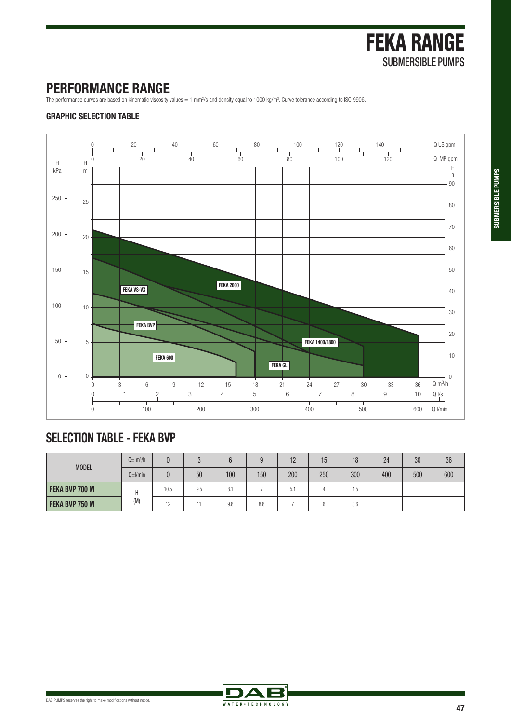## **PERFORMANCE RANGE**

The performance curves are based on kinematic viscosity values = 1 mm<sup>2</sup>/s and density equal to 1000 kg/m<sup>3</sup>. Curve tolerance according to ISO 9906.

### **GRAPHIC SELECTION TABLE**



# **SELECTION TABLE - FEKA BVP**

| <b>MODEL</b>   | $Q = m^3/h$ |                 |     |     |     | 12  | 15  | 18  | 24  | 30  | 36  |
|----------------|-------------|-----------------|-----|-----|-----|-----|-----|-----|-----|-----|-----|
|                | $Q=1/min$   |                 | 50  | 100 | 150 | 200 | 250 | 300 | 400 | 500 | 600 |
| FEKA BVP 700 M | Н<br>(M)    | 10.5            | 9.5 | 8.1 |     | 5.1 |     | . ა |     |     |     |
| FEKA BVP 750 M |             | $\overline{10}$ | 11  | 9.8 | 8.8 |     |     | 3.6 |     |     |     |